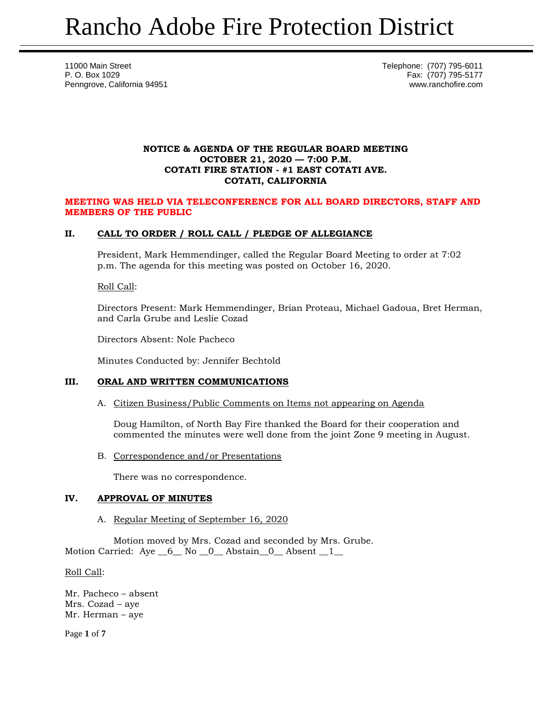11000 Main Street Telephone: (707) 795-6011 P. O. Box 1029 Fax: (707) 795-5177 Penngrove, California 94951 www.ranchofire.com

## **NOTICE & AGENDA OF THE REGULAR BOARD MEETING OCTOBER 21, 2020 — 7:00 P.M. COTATI FIRE STATION - #1 EAST COTATI AVE. COTATI, CALIFORNIA**

#### **MEETING WAS HELD VIA TELECONFERENCE FOR ALL BOARD DIRECTORS, STAFF AND MEMBERS OF THE PUBLIC**

# **II. CALL TO ORDER / ROLL CALL / PLEDGE OF ALLEGIANCE**

President, Mark Hemmendinger, called the Regular Board Meeting to order at 7:02 p.m. The agenda for this meeting was posted on October 16, 2020.

#### Roll Call:

Directors Present: Mark Hemmendinger, Brian Proteau, Michael Gadoua, Bret Herman, and Carla Grube and Leslie Cozad

Directors Absent: Nole Pacheco

Minutes Conducted by: Jennifer Bechtold

### **III. ORAL AND WRITTEN COMMUNICATIONS**

A. Citizen Business/Public Comments on Items not appearing on Agenda

Doug Hamilton, of North Bay Fire thanked the Board for their cooperation and commented the minutes were well done from the joint Zone 9 meeting in August.

B. Correspondence and/or Presentations

There was no correspondence.

### **IV. APPROVAL OF MINUTES**

A. Regular Meeting of September 16, 2020

Motion moved by Mrs. Cozad and seconded by Mrs. Grube. Motion Carried: Aye  $6$  No 0 Abstain 0 Absent 1

#### Roll Call:

Mr. Pacheco – absent Mrs. Cozad – aye Mr. Herman – aye

Page **1** of **7**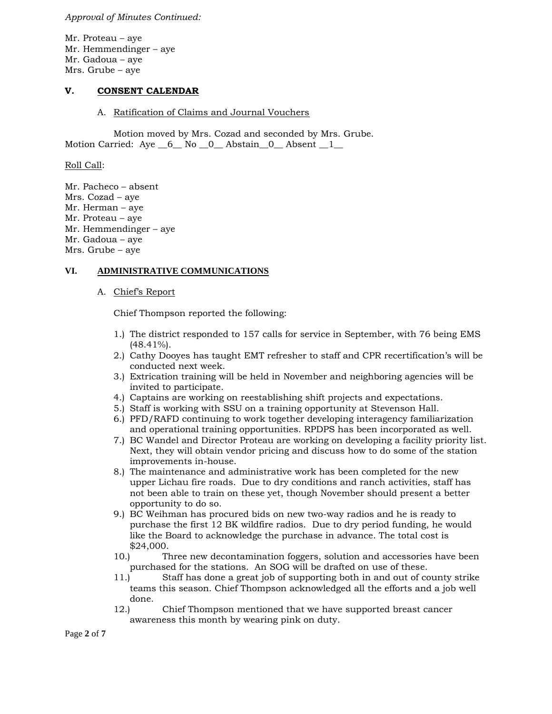*Approval of Minutes Continued:*

Mr. Proteau – aye Mr. Hemmendinger – aye Mr. Gadoua – aye Mrs. Grube – aye

#### **V. CONSENT CALENDAR**

#### A. Ratification of Claims and Journal Vouchers

Motion moved by Mrs. Cozad and seconded by Mrs. Grube. Motion Carried: Aye 6 No 0 Abstain 0 Absent 1

Roll Call:

Mr. Pacheco – absent Mrs. Cozad – aye Mr. Herman – aye Mr. Proteau – aye Mr. Hemmendinger – aye Mr. Gadoua – aye Mrs. Grube – aye

# **VI. ADMINISTRATIVE COMMUNICATIONS**

#### A. Chief's Report

Chief Thompson reported the following:

- 1.) The district responded to 157 calls for service in September, with 76 being EMS (48.41%).
- 2.) Cathy Dooyes has taught EMT refresher to staff and CPR recertification's will be conducted next week.
- 3.) Extrication training will be held in November and neighboring agencies will be invited to participate.
- 4.) Captains are working on reestablishing shift projects and expectations.
- 5.) Staff is working with SSU on a training opportunity at Stevenson Hall.
- 6.) PFD/RAFD continuing to work together developing interagency familiarization and operational training opportunities. RPDPS has been incorporated as well.
- 7.) BC Wandel and Director Proteau are working on developing a facility priority list. Next, they will obtain vendor pricing and discuss how to do some of the station improvements in-house.
- 8.) The maintenance and administrative work has been completed for the new upper Lichau fire roads. Due to dry conditions and ranch activities, staff has not been able to train on these yet, though November should present a better opportunity to do so.
- 9.) BC Weihman has procured bids on new two-way radios and he is ready to purchase the first 12 BK wildfire radios. Due to dry period funding, he would like the Board to acknowledge the purchase in advance. The total cost is \$24,000.
- 10.) Three new decontamination foggers, solution and accessories have been purchased for the stations. An SOG will be drafted on use of these.
- 11.) Staff has done a great job of supporting both in and out of county strike teams this season. Chief Thompson acknowledged all the efforts and a job well done.
- 12.) Chief Thompson mentioned that we have supported breast cancer awareness this month by wearing pink on duty.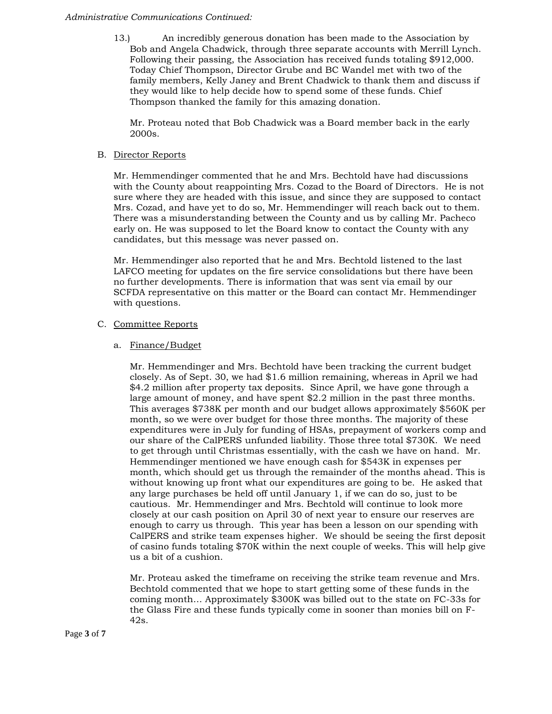#### *Administrative Communications Continued:*

13.) An incredibly generous donation has been made to the Association by Bob and Angela Chadwick, through three separate accounts with Merrill Lynch. Following their passing, the Association has received funds totaling \$912,000. Today Chief Thompson, Director Grube and BC Wandel met with two of the family members, Kelly Janey and Brent Chadwick to thank them and discuss if they would like to help decide how to spend some of these funds. Chief Thompson thanked the family for this amazing donation.

Mr. Proteau noted that Bob Chadwick was a Board member back in the early 2000s.

### B. Director Reports

Mr. Hemmendinger commented that he and Mrs. Bechtold have had discussions with the County about reappointing Mrs. Cozad to the Board of Directors. He is not sure where they are headed with this issue, and since they are supposed to contact Mrs. Cozad, and have yet to do so, Mr. Hemmendinger will reach back out to them. There was a misunderstanding between the County and us by calling Mr. Pacheco early on. He was supposed to let the Board know to contact the County with any candidates, but this message was never passed on.

Mr. Hemmendinger also reported that he and Mrs. Bechtold listened to the last LAFCO meeting for updates on the fire service consolidations but there have been no further developments. There is information that was sent via email by our SCFDA representative on this matter or the Board can contact Mr. Hemmendinger with questions.

# C. Committee Reports

# a. Finance/Budget

Mr. Hemmendinger and Mrs. Bechtold have been tracking the current budget closely. As of Sept. 30, we had \$1.6 million remaining, whereas in April we had \$4.2 million after property tax deposits. Since April, we have gone through a large amount of money, and have spent \$2.2 million in the past three months. This averages \$738K per month and our budget allows approximately \$560K per month, so we were over budget for those three months. The majority of these expenditures were in July for funding of HSAs, prepayment of workers comp and our share of the CalPERS unfunded liability. Those three total \$730K. We need to get through until Christmas essentially, with the cash we have on hand. Mr. Hemmendinger mentioned we have enough cash for \$543K in expenses per month, which should get us through the remainder of the months ahead. This is without knowing up front what our expenditures are going to be. He asked that any large purchases be held off until January 1, if we can do so, just to be cautious. Mr. Hemmendinger and Mrs. Bechtold will continue to look more closely at our cash position on April 30 of next year to ensure our reserves are enough to carry us through. This year has been a lesson on our spending with CalPERS and strike team expenses higher. We should be seeing the first deposit of casino funds totaling \$70K within the next couple of weeks. This will help give us a bit of a cushion.

Mr. Proteau asked the timeframe on receiving the strike team revenue and Mrs. Bechtold commented that we hope to start getting some of these funds in the coming month… Approximately \$300K was billed out to the state on FC-33s for the Glass Fire and these funds typically come in sooner than monies bill on F-42s.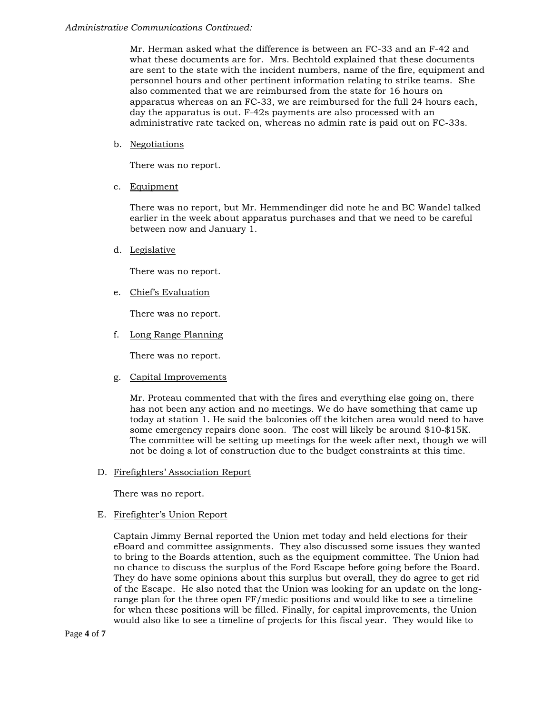Mr. Herman asked what the difference is between an FC-33 and an F-42 and what these documents are for. Mrs. Bechtold explained that these documents are sent to the state with the incident numbers, name of the fire, equipment and personnel hours and other pertinent information relating to strike teams. She also commented that we are reimbursed from the state for 16 hours on apparatus whereas on an FC-33, we are reimbursed for the full 24 hours each, day the apparatus is out. F-42s payments are also processed with an administrative rate tacked on, whereas no admin rate is paid out on FC-33s.

b. Negotiations

There was no report.

c. Equipment

There was no report, but Mr. Hemmendinger did note he and BC Wandel talked earlier in the week about apparatus purchases and that we need to be careful between now and January 1.

d. Legislative

There was no report.

e. Chief's Evaluation

There was no report.

f. Long Range Planning

There was no report.

g. Capital Improvements

Mr. Proteau commented that with the fires and everything else going on, there has not been any action and no meetings. We do have something that came up today at station 1. He said the balconies off the kitchen area would need to have some emergency repairs done soon. The cost will likely be around \$10-\$15K. The committee will be setting up meetings for the week after next, though we will not be doing a lot of construction due to the budget constraints at this time.

D. Firefighters' Association Report

There was no report.

# E. Firefighter's Union Report

Captain Jimmy Bernal reported the Union met today and held elections for their eBoard and committee assignments. They also discussed some issues they wanted to bring to the Boards attention, such as the equipment committee. The Union had no chance to discuss the surplus of the Ford Escape before going before the Board. They do have some opinions about this surplus but overall, they do agree to get rid of the Escape. He also noted that the Union was looking for an update on the longrange plan for the three open FF/medic positions and would like to see a timeline for when these positions will be filled. Finally, for capital improvements, the Union would also like to see a timeline of projects for this fiscal year. They would like to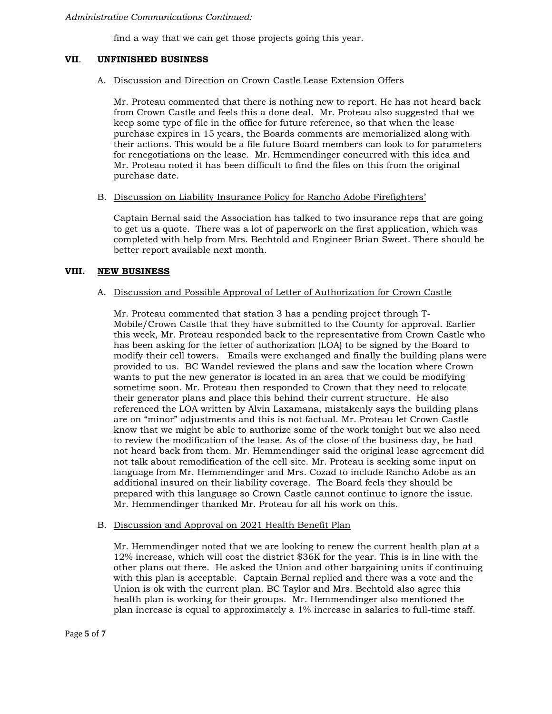find a way that we can get those projects going this year.

# **VII**. **UNFINISHED BUSINESS**

## A. Discussion and Direction on Crown Castle Lease Extension Offers

Mr. Proteau commented that there is nothing new to report. He has not heard back from Crown Castle and feels this a done deal. Mr. Proteau also suggested that we keep some type of file in the office for future reference, so that when the lease purchase expires in 15 years, the Boards comments are memorialized along with their actions. This would be a file future Board members can look to for parameters for renegotiations on the lease. Mr. Hemmendinger concurred with this idea and Mr. Proteau noted it has been difficult to find the files on this from the original purchase date.

B. Discussion on Liability Insurance Policy for Rancho Adobe Firefighters'

Captain Bernal said the Association has talked to two insurance reps that are going to get us a quote. There was a lot of paperwork on the first application, which was completed with help from Mrs. Bechtold and Engineer Brian Sweet. There should be better report available next month.

# **VIII. NEW BUSINESS**

# A. Discussion and Possible Approval of Letter of Authorization for Crown Castle

Mr. Proteau commented that station 3 has a pending project through T-Mobile/Crown Castle that they have submitted to the County for approval. Earlier this week, Mr. Proteau responded back to the representative from Crown Castle who has been asking for the letter of authorization (LOA) to be signed by the Board to modify their cell towers. Emails were exchanged and finally the building plans were provided to us. BC Wandel reviewed the plans and saw the location where Crown wants to put the new generator is located in an area that we could be modifying sometime soon. Mr. Proteau then responded to Crown that they need to relocate their generator plans and place this behind their current structure. He also referenced the LOA written by Alvin Laxamana, mistakenly says the building plans are on "minor" adjustments and this is not factual. Mr. Proteau let Crown Castle know that we might be able to authorize some of the work tonight but we also need to review the modification of the lease. As of the close of the business day, he had not heard back from them. Mr. Hemmendinger said the original lease agreement did not talk about remodification of the cell site. Mr. Proteau is seeking some input on language from Mr. Hemmendinger and Mrs. Cozad to include Rancho Adobe as an additional insured on their liability coverage. The Board feels they should be prepared with this language so Crown Castle cannot continue to ignore the issue. Mr. Hemmendinger thanked Mr. Proteau for all his work on this.

#### B. Discussion and Approval on 2021 Health Benefit Plan

Mr. Hemmendinger noted that we are looking to renew the current health plan at a 12% increase, which will cost the district \$36K for the year. This is in line with the other plans out there. He asked the Union and other bargaining units if continuing with this plan is acceptable. Captain Bernal replied and there was a vote and the Union is ok with the current plan. BC Taylor and Mrs. Bechtold also agree this health plan is working for their groups. Mr. Hemmendinger also mentioned the plan increase is equal to approximately a 1% increase in salaries to full-time staff.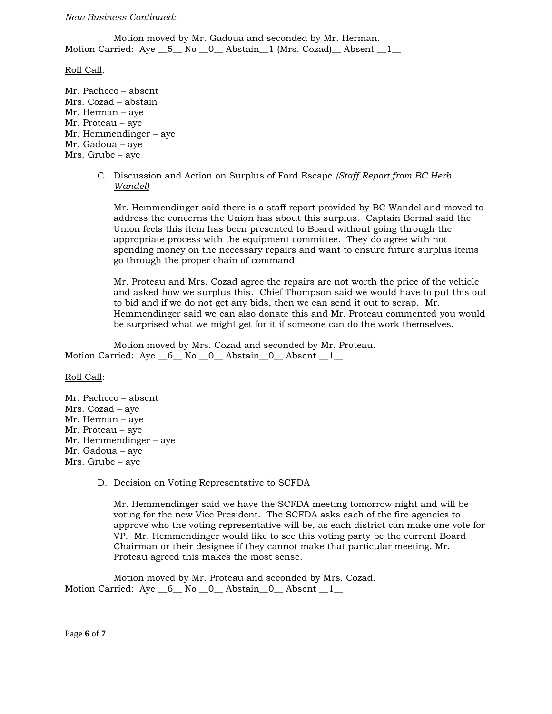#### *New Business Continued:*

Motion moved by Mr. Gadoua and seconded by Mr. Herman. Motion Carried: Aye \_\_5\_\_ No \_\_0\_\_ Abstain\_\_1 (Mrs. Cozad)\_\_ Absent \_\_1\_\_

Roll Call:

Mr. Pacheco – absent Mrs. Cozad – abstain Mr. Herman – aye Mr. Proteau – aye Mr. Hemmendinger – aye Mr. Gadoua – aye Mrs. Grube – aye

> C. Discussion and Action on Surplus of Ford Escape *(Staff Report from BC Herb Wandel)*

Mr. Hemmendinger said there is a staff report provided by BC Wandel and moved to address the concerns the Union has about this surplus. Captain Bernal said the Union feels this item has been presented to Board without going through the appropriate process with the equipment committee. They do agree with not spending money on the necessary repairs and want to ensure future surplus items go through the proper chain of command.

Mr. Proteau and Mrs. Cozad agree the repairs are not worth the price of the vehicle and asked how we surplus this. Chief Thompson said we would have to put this out to bid and if we do not get any bids, then we can send it out to scrap. Mr. Hemmendinger said we can also donate this and Mr. Proteau commented you would be surprised what we might get for it if someone can do the work themselves.

Motion moved by Mrs. Cozad and seconded by Mr. Proteau. Motion Carried: Aye  $\_6\_$  No  $\_0\_$  Abstain $\_0\_$  Absent  $\_1\_$ 

Roll Call:

Mr. Pacheco – absent Mrs. Cozad – aye Mr. Herman – aye Mr. Proteau – aye Mr. Hemmendinger – aye Mr. Gadoua – aye Mrs. Grube – aye

#### D. Decision on Voting Representative to SCFDA

Mr. Hemmendinger said we have the SCFDA meeting tomorrow night and will be voting for the new Vice President. The SCFDA asks each of the fire agencies to approve who the voting representative will be, as each district can make one vote for VP. Mr. Hemmendinger would like to see this voting party be the current Board Chairman or their designee if they cannot make that particular meeting. Mr. Proteau agreed this makes the most sense.

Motion moved by Mr. Proteau and seconded by Mrs. Cozad. Motion Carried: Aye  $\_6\_$  No  $\_0\_$  Abstain $\_0\_$  Absent  $\_1\_$